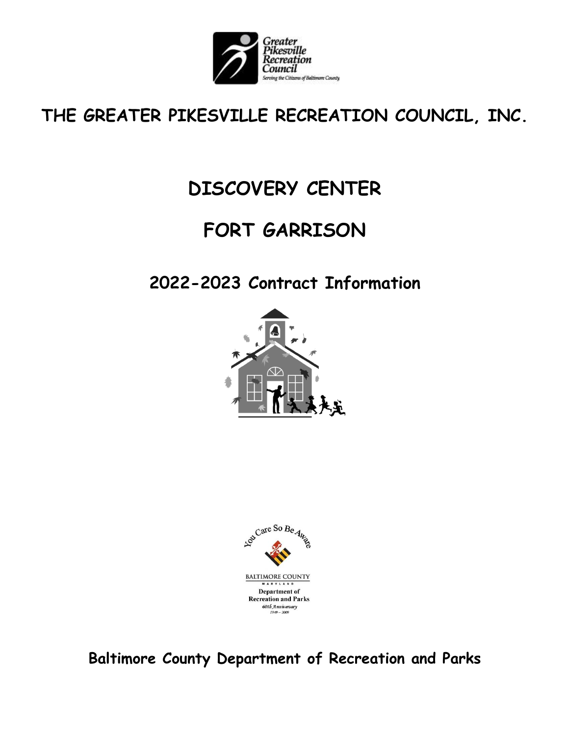

### **THE GREATER PIKESVILLE RECREATION COUNCIL, INC.**

# **DISCOVERY CENTER**

# **FORT GARRISON**

### **2022-2023 Contract Information**





**Baltimore County Department of Recreation and Parks**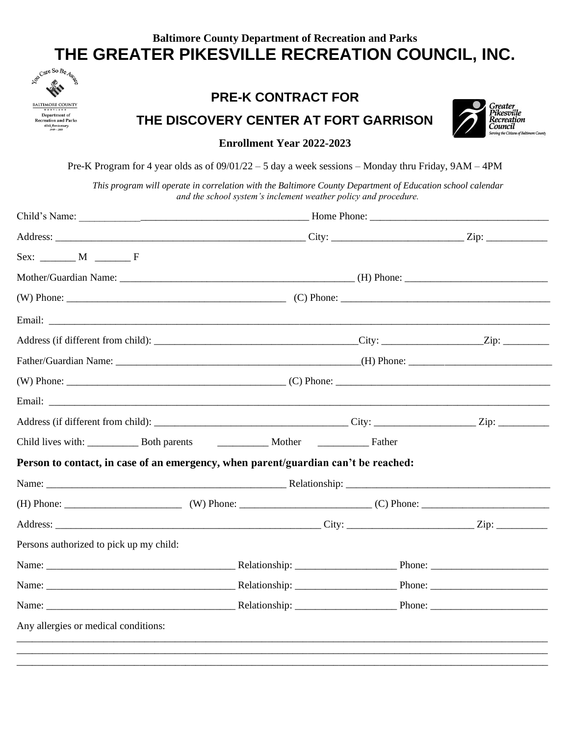### **Baltimore County Department of Recreation and Parks THE GREATER PIKESVILLE RECREATION COUNCIL, INC.**



#### **PRE-K CONTRACT FOR**

**THE DISCOVERY CENTER AT FORT GARRISON**



**Enrollment Year 2022-2023**

Pre-K Program for 4 year olds as of 09/01/22 – 5 day a week sessions – Monday thru Friday, 9AM – 4PM

*This program will operate in correlation with the Baltimore County Department of Education school calendar and the school system's inclement weather policy and procedure.*

| $Sex:$ M $\qquad$ F                                                                |  |  |  |  |
|------------------------------------------------------------------------------------|--|--|--|--|
|                                                                                    |  |  |  |  |
|                                                                                    |  |  |  |  |
|                                                                                    |  |  |  |  |
|                                                                                    |  |  |  |  |
|                                                                                    |  |  |  |  |
|                                                                                    |  |  |  |  |
|                                                                                    |  |  |  |  |
|                                                                                    |  |  |  |  |
|                                                                                    |  |  |  |  |
| Person to contact, in case of an emergency, when parent/guardian can't be reached: |  |  |  |  |
|                                                                                    |  |  |  |  |
|                                                                                    |  |  |  |  |
|                                                                                    |  |  |  |  |
| Persons authorized to pick up my child:                                            |  |  |  |  |
|                                                                                    |  |  |  |  |
|                                                                                    |  |  |  |  |
|                                                                                    |  |  |  |  |
| Any allergies or medical conditions:                                               |  |  |  |  |
|                                                                                    |  |  |  |  |
|                                                                                    |  |  |  |  |